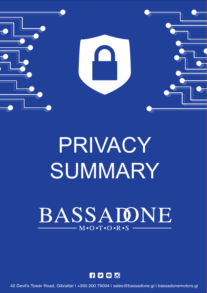

# PRIVACY SUMMARY

# BASSADNE  $-M \cdot O \cdot T \cdot O \cdot R \cdot S$



42 Devil's Tower Road, Gibraltar | +350 200 79004 | sales@bassadone.gi | bassadonemotors.gi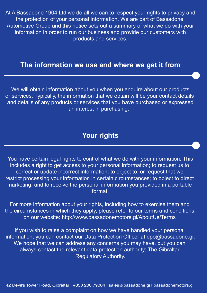At A Bassadone 1904 Ltd we do all we can to respect your rights to privacy and the protection of your personal information. We are part of Bassadone Automotive Group and this notice sets out a summary of what we do with your information in order to run our business and provide our customers with products and services.

#### **The information we use and where we get it from**

We will obtain information about you when you enquire about our products or services. Typically, the information that we obtain will be your contact details and details of any products or services that you have purchased or expressed an interest in purchasing.

### **Your rights**

You have certain legal rights to control what we do with your information. This includes a right to get access to your personal information; to request us to correct or update incorrect information; to object to, or request that we restrict processing your information in certain circumstances; to object to direct marketing; and to receive the personal information you provided in a portable format.

For more information about your rights, including how to exercise them and the circumstances in which they apply, please refer to our terms and conditions on our website: http://www.bassadonemotors.gi/AboutUs/Terms

If you wish to raise a complaint on how we have handled your personal information, you can contact our Data Protection Officer at dpo@bassadone.gi. We hope that we can address any concerns you may have, but you can always contact the relevant data protection authority; The Gibraltar Regulatory Authority.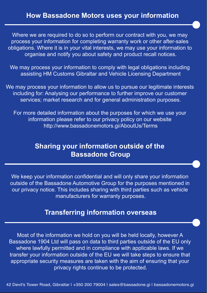Where we are required to do so to perform our contract with you, we may process your information for completing warranty work or other after-sales obligations. Where it is in your vital interests, we may use your information to organise and notify you about safety and product recall notices.

We may process your information to comply with legal obligations including assisting HM Customs Gibraltar and Vehicle Licensing Department

We may process your information to allow us to pursue our legitimate interests including for: Analysing our performance to further improve our customer services; market research and for general administration purposes.

For more detailed information about the purposes for which we use your information please refer to our privacy policy on our website http://www.bassadonemotors.gi/AboutUs/Terms

#### **Sharing your information outside of the Bassadone Group**

We keep your information confidential and will only share your information outside of the Bassadone Automotive Group for the purposes mentioned in our privacy notice. This includes sharing with third parties such as vehicle manufacturers for warranty purposes.

#### **Transferring information overseas**

Most of the information we hold on you will be held locally, however A Bassadone 1904 Ltd will pass on data to third parties outside of the EU only where lawfully permitted and in compliance with applicable laws. If we transfer your information outside of the EU we will take steps to ensure that appropriate security measures are taken with the aim of ensuring that your privacy rights continue to be protected.